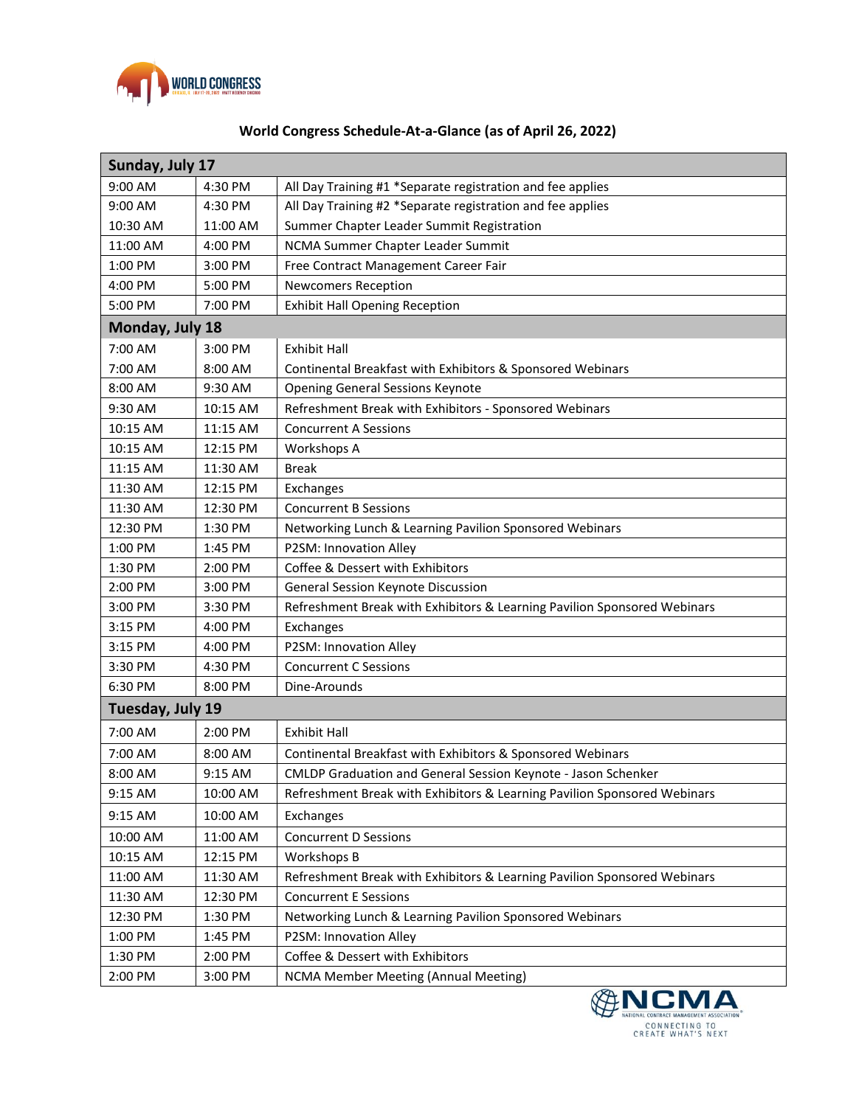

## **World Congress Schedule-At-a-Glance (as of April 26, 2022)**

| Sunday, July 17  |          |                                                                          |  |  |
|------------------|----------|--------------------------------------------------------------------------|--|--|
| 9:00 AM          | 4:30 PM  | All Day Training #1 *Separate registration and fee applies               |  |  |
| 9:00 AM          | 4:30 PM  | All Day Training #2 *Separate registration and fee applies               |  |  |
| 10:30 AM         | 11:00 AM | Summer Chapter Leader Summit Registration                                |  |  |
| 11:00 AM         | 4:00 PM  | NCMA Summer Chapter Leader Summit                                        |  |  |
| 1:00 PM          | 3:00 PM  | Free Contract Management Career Fair                                     |  |  |
| 4:00 PM          | 5:00 PM  | <b>Newcomers Reception</b>                                               |  |  |
| 5:00 PM          | 7:00 PM  | <b>Exhibit Hall Opening Reception</b>                                    |  |  |
| Monday, July 18  |          |                                                                          |  |  |
| 7:00 AM          | 3:00 PM  | <b>Exhibit Hall</b>                                                      |  |  |
| 7:00 AM          | 8:00 AM  | Continental Breakfast with Exhibitors & Sponsored Webinars               |  |  |
| 8:00 AM          | 9:30 AM  | <b>Opening General Sessions Keynote</b>                                  |  |  |
| 9:30 AM          | 10:15 AM | Refreshment Break with Exhibitors - Sponsored Webinars                   |  |  |
| 10:15 AM         | 11:15 AM | <b>Concurrent A Sessions</b>                                             |  |  |
| 10:15 AM         | 12:15 PM | Workshops A                                                              |  |  |
| 11:15 AM         | 11:30 AM | <b>Break</b>                                                             |  |  |
| 11:30 AM         | 12:15 PM | Exchanges                                                                |  |  |
| 11:30 AM         | 12:30 PM | <b>Concurrent B Sessions</b>                                             |  |  |
| 12:30 PM         | 1:30 PM  | Networking Lunch & Learning Pavilion Sponsored Webinars                  |  |  |
| $1:00$ PM        | 1:45 PM  | P2SM: Innovation Alley                                                   |  |  |
| 1:30 PM          | 2:00 PM  | Coffee & Dessert with Exhibitors                                         |  |  |
| 2:00 PM          | 3:00 PM  | General Session Keynote Discussion                                       |  |  |
| 3:00 PM          | 3:30 PM  | Refreshment Break with Exhibitors & Learning Pavilion Sponsored Webinars |  |  |
| 3:15 PM          | 4:00 PM  | Exchanges                                                                |  |  |
| 3:15 PM          | 4:00 PM  | P2SM: Innovation Alley                                                   |  |  |
| 3:30 PM          | 4:30 PM  | <b>Concurrent C Sessions</b>                                             |  |  |
| 6:30 PM          | 8:00 PM  | Dine-Arounds                                                             |  |  |
| Tuesday, July 19 |          |                                                                          |  |  |
| 7:00 AM          | 2:00 PM  | <b>Exhibit Hall</b>                                                      |  |  |
| 7:00 AM          | 8:00 AM  | Continental Breakfast with Exhibitors & Sponsored Webinars               |  |  |
| 8:00 AM          | 9:15 AM  | CMLDP Graduation and General Session Keynote - Jason Schenker            |  |  |
| 9:15 AM          | 10:00 AM | Refreshment Break with Exhibitors & Learning Pavilion Sponsored Webinars |  |  |
| 9:15 AM          | 10:00 AM | Exchanges                                                                |  |  |
| 10:00 AM         | 11:00 AM | <b>Concurrent D Sessions</b>                                             |  |  |
| 10:15 AM         | 12:15 PM | Workshops B                                                              |  |  |
| 11:00 AM         | 11:30 AM | Refreshment Break with Exhibitors & Learning Pavilion Sponsored Webinars |  |  |
| 11:30 AM         | 12:30 PM | <b>Concurrent E Sessions</b>                                             |  |  |
| 12:30 PM         | 1:30 PM  | Networking Lunch & Learning Pavilion Sponsored Webinars                  |  |  |
| 1:00 PM          | 1:45 PM  | P2SM: Innovation Alley                                                   |  |  |
| 1:30 PM          | 2:00 PM  | Coffee & Dessert with Exhibitors                                         |  |  |
| 2:00 PM          | 3:00 PM  | NCMA Member Meeting (Annual Meeting)                                     |  |  |